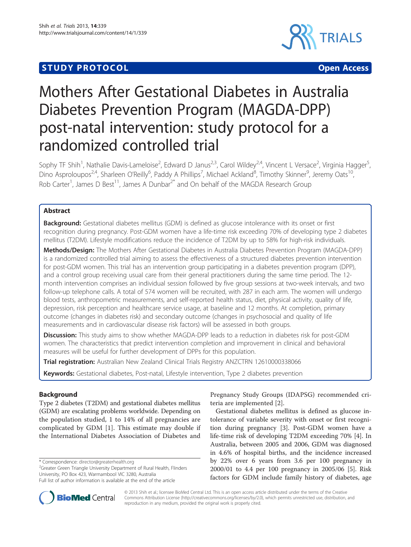# **STUDY PROTOCOL CONSUMING THE CONSUMING OPEN ACCESS**



# Mothers After Gestational Diabetes in Australia Diabetes Prevention Program (MAGDA-DPP) post-natal intervention: study protocol for a randomized controlled trial

Sophy TF Shih<sup>1</sup>, Nathalie Davis-Lameloise<sup>2</sup>, Edward D Janus<sup>2,3</sup>, Carol Wildey<sup>2,4</sup>, Vincent L Versace<sup>2</sup>, Virginia Hagger<sup>5</sup> , Dino Asproloupos<sup>2,4</sup>, Sharleen O'Reilly<sup>6</sup>, Paddy A Phillips<sup>7</sup>, Michael Ackland<sup>8</sup>, Timothy Skinner<sup>9</sup>, Jeremy Oats<sup>10</sup>, Rob Carter<sup>1</sup>, James D Best<sup>11</sup>, James A Dunbar<sup>2\*</sup> and On behalf of the MAGDA Research Group

# Abstract

**Background:** Gestational diabetes mellitus (GDM) is defined as glucose intolerance with its onset or first recognition during pregnancy. Post-GDM women have a life-time risk exceeding 70% of developing type 2 diabetes mellitus (T2DM). Lifestyle modifications reduce the incidence of T2DM by up to 58% for high-risk individuals.

Methods/Design: The Mothers After Gestational Diabetes in Australia Diabetes Prevention Program (MAGDA-DPP) is a randomized controlled trial aiming to assess the effectiveness of a structured diabetes prevention intervention for post-GDM women. This trial has an intervention group participating in a diabetes prevention program (DPP), and a control group receiving usual care from their general practitioners during the same time period. The 12 month intervention comprises an individual session followed by five group sessions at two-week intervals, and two follow-up telephone calls. A total of 574 women will be recruited, with 287 in each arm. The women will undergo blood tests, anthropometric measurements, and self-reported health status, diet, physical activity, quality of life, depression, risk perception and healthcare service usage, at baseline and 12 months. At completion, primary outcome (changes in diabetes risk) and secondary outcome (changes in psychosocial and quality of life measurements and in cardiovascular disease risk factors) will be assessed in both groups.

**Discussion:** This study aims to show whether MAGDA-DPP leads to a reduction in diabetes risk for post-GDM women. The characteristics that predict intervention completion and improvement in clinical and behavioral measures will be useful for further development of DPPs for this population.

Trial registration: Australian New Zealand Clinical Trials Registry ANZCTRN [12610000338066](http://www.anzctr.org.au/default.aspx)

Keywords: Gestational diabetes, Post-natal, Lifestyle intervention, Type 2 diabetes prevention

# Background

Type 2 diabetes (T2DM) and gestational diabetes mellitus (GDM) are escalating problems worldwide. Depending on the population studied, 1 to 14% of all pregnancies are complicated by GDM [[1\]](#page-8-0). This estimate may double if the International Diabetes Association of Diabetes and

\* Correspondence: [director@greaterhealth.org](mailto:director@greaterhealth.org) <sup>2</sup>

<sup>2</sup>Greater Green Triangle University Department of Rural Health, Flinders University, PO Box 423, Warrnambool VIC 3280, Australia

Pregnancy Study Groups (IDAPSG) recommended criteria are implemented [[2\]](#page-8-0).

Gestational diabetes mellitus is defined as glucose intolerance of variable severity with onset or first recognition during pregnancy [\[3](#page-8-0)]. Post-GDM women have a life-time risk of developing T2DM exceeding 70% [\[4](#page-8-0)]. In Australia, between 2005 and 2006, GDM was diagnosed in 4.6% of hospital births, and the incidence increased by 22% over 6 years from 3.6 per 100 pregnancy in 2000/01 to 4.4 per 100 pregnancy in 2005/06 [[5\]](#page-8-0). Risk factors for GDM include family history of diabetes, age



© 2013 Shih et al.; licensee BioMed Central Ltd. This is an open access article distributed under the terms of the Creative Commons Attribution License [\(http://creativecommons.org/licenses/by/2.0\)](http://creativecommons.org/licenses/by/2.0), which permits unrestricted use, distribution, and reproduction in any medium, provided the original work is properly cited.

Full list of author information is available at the end of the article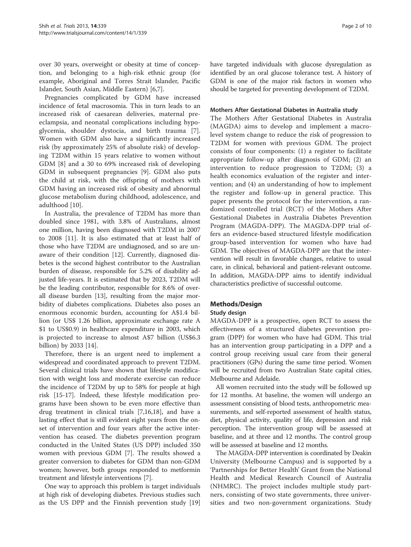over 30 years, overweight or obesity at time of conception, and belonging to a high-risk ethnic group (for example, Aboriginal and Torres Strait Islander, Pacific Islander, South Asian, Middle Eastern) [[6,7\]](#page-8-0).

Pregnancies complicated by GDM have increased incidence of fetal macrosomia. This in turn leads to an increased risk of caesarean deliveries, maternal preeclampsia, and neonatal complications including hypoglycemia, shoulder dystocia, and birth trauma [\[7](#page-8-0)]. Women with GDM also have a significantly increased risk (by approximately 25% of absolute risk) of developing T2DM within 15 years relative to women without GDM [\[8](#page-8-0)] and a 30 to 69% increased risk of developing GDM in subsequent pregnancies [[9\]](#page-8-0). GDM also puts the child at risk, with the offspring of mothers with GDM having an increased risk of obesity and abnormal glucose metabolism during childhood, adolescence, and adulthood [[10\]](#page-8-0).

In Australia, the prevalence of T2DM has more than doubled since 1981, with 3.8% of Australians, almost one million, having been diagnosed with T2DM in 2007 to 2008 [[11\]](#page-8-0). It is also estimated that at least half of those who have T2DM are undiagnosed, and so are unaware of their condition [[12](#page-8-0)]. Currently, diagnosed diabetes is the second highest contributor to the Australian burden of disease, responsible for 5.2% of disability adjusted life-years. It is estimated that by 2023, T2DM will be the leading contributor, responsible for 8.6% of overall disease burden [[13](#page-8-0)], resulting from the major morbidity of diabetes complications. Diabetes also poses an enormous economic burden, accounting for A\$1.4 billion (or US\$ 1.26 billion, approximate exchange rate A \$1 to US\$0.9) in healthcare expenditure in 2003, which is projected to increase to almost A\$7 billion (US\$6.3 billion) by 2033 [[14\]](#page-8-0).

Therefore, there is an urgent need to implement a widespread and coordinated approach to prevent T2DM. Several clinical trials have shown that lifestyle modification with weight loss and moderate exercise can reduce the incidence of T2DM by up to 58% for people at high risk [[15-17](#page-8-0)]. Indeed, these lifestyle modification programs have been shown to be even more effective than drug treatment in clinical trials [\[7,16,18](#page-8-0)], and have a lasting effect that is still evident eight years from the onset of intervention and four years after the active intervention has ceased. The diabetes prevention program conducted in the United States (US DPP) included 350 women with previous GDM [\[7\]](#page-8-0). The results showed a greater conversion to diabetes for GDM than non-GDM women; however, both groups responded to metformin treatment and lifestyle interventions [\[7](#page-8-0)].

One way to approach this problem is target individuals at high risk of developing diabetes. Previous studies such as the US DPP and the Finnish prevention study [[19](#page-8-0)]

have targeted individuals with glucose dysregulation as identified by an oral glucose tolerance test. A history of GDM is one of the major risk factors in women who should be targeted for preventing development of T2DM.

## Mothers After Gestational Diabetes in Australia study

The Mothers After Gestational Diabetes in Australia (MAGDA) aims to develop and implement a macrolevel system change to reduce the risk of progression to T2DM for women with previous GDM. The project consists of four components: (1) a register to facilitate appropriate follow-up after diagnosis of GDM; (2) an intervention to reduce progression to T2DM; (3) a health economics evaluation of the register and intervention; and (4) an understanding of how to implement the register and follow-up in general practice. This paper presents the protocol for the intervention, a randomized controlled trial (RCT) of the Mothers After Gestational Diabetes in Australia Diabetes Prevention Program (MAGDA-DPP). The MAGDA-DPP trial offers an evidence-based structured lifestyle modification group-based intervention for women who have had GDM. The objectives of MAGDA-DPP are that the intervention will result in favorable changes, relative to usual care, in clinical, behavioral and patient-relevant outcome. In addition, MAGDA-DPP aims to identify individual characteristics predictive of successful outcome.

# Methods/Design

# Study design

MAGDA-DPP is a prospective, open RCT to assess the effectiveness of a structured diabetes prevention program (DPP) for women who have had GDM. This trial has an intervention group participating in a DPP and a control group receiving usual care from their general practitioners (GPs) during the same time period. Women will be recruited from two Australian State capital cities, Melbourne and Adelaide.

All women recruited into the study will be followed up for 12 months. At baseline, the women will undergo an assessment consisting of blood tests, anthropometric measurements, and self-reported assessment of health status, diet, physical activity, quality of life, depression and risk perception. The intervention group will be assessed at baseline, and at three and 12 months. The control group will be assessed at baseline and 12 months.

The MAGDA-DPP intervention is coordinated by Deakin University (Melbourne Campus) and is supported by a 'Partnerships for Better Health' Grant from the National Health and Medical Research Council of Australia (NHMRC). The project includes multiple study partners, consisting of two state governments, three universities and two non-government organizations. Study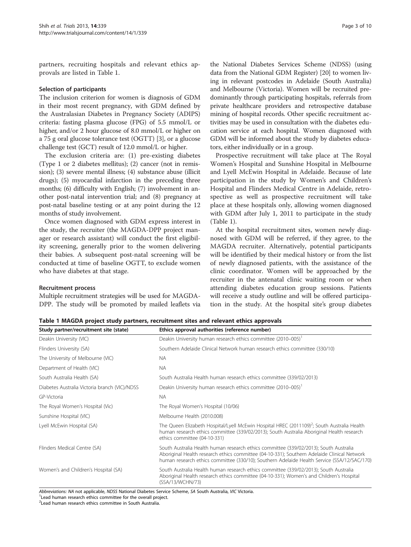partners, recruiting hospitals and relevant ethics approvals are listed in Table 1.

#### Selection of participants

The inclusion criterion for women is diagnosis of GDM in their most recent pregnancy, with GDM defined by the Australasian Diabetes in Pregnancy Society (ADIPS) criteria: fasting plasma glucose (FPG) of 5.5 mmol/L or higher, and/or 2 hour glucose of 8.0 mmol/L or higher on a 75 g oral glucose tolerance test (OGTT) [[3\]](#page-8-0), or a glucose challenge test (GCT) result of 12.0 mmol/L or higher.

The exclusion criteria are: (1) pre-existing diabetes (Type 1 or 2 diabetes mellitus); (2) cancer (not in remission); (3) severe mental illness; (4) substance abuse (illicit drugs); (5) myocardial infarction in the preceding three months; (6) difficulty with English; (7) involvement in another post-natal intervention trial; and (8) pregnancy at post-natal baseline testing or at any point during the 12 months of study involvement.

Once women diagnosed with GDM express interest in the study, the recruiter (the MAGDA-DPP project manager or research assistant) will conduct the first eligibility screening, generally prior to the women delivering their babies. A subsequent post-natal screening will be conducted at time of baseline OGTT, to exclude women who have diabetes at that stage.

#### Recruitment process

Multiple recruitment strategies will be used for MAGDA-DPP. The study will be promoted by mailed leaflets via

the National Diabetes Services Scheme (NDSS) (using data from the National GDM Register) [[20](#page-8-0)] to women living in relevant postcodes in Adelaide (South Australia) and Melbourne (Victoria). Women will be recruited predominantly through participating hospitals, referrals from private healthcare providers and retrospective database mining of hospital records. Other specific recruitment activities may be used in consultation with the diabetes education service at each hospital. Women diagnosed with GDM will be informed about the study by diabetes educators, either individually or in a group.

Prospective recruitment will take place at The Royal Women's Hospital and Sunshine Hospital in Melbourne and Lyell McEwin Hospital in Adelaide. Because of late participation in the study by Women's and Children's Hospital and Flinders Medical Centre in Adelaide, retrospective as well as prospective recruitment will take place at these hospitals only, allowing women diagnosed with GDM after July 1, 2011 to participate in the study (Table 1).

At the hospital recruitment sites, women newly diagnosed with GDM will be referred, if they agree, to the MAGDA recruiter. Alternatively, potential participants will be identified by their medical history or from the list of newly diagnosed patients, with the assistance of the clinic coordinator. Women will be approached by the recruiter in the antenatal clinic waiting room or when attending diabetes education group sessions. Patients will receive a study outline and will be offered participation in the study. At the hospital site's group diabetes

Table 1 MAGDA project study partners, recruitment sites and relevant ethics approvals

| Study partner/recruitment site (state)        | Ethics approval authorities (reference number)                                                                                                                                                                                                                                      |  |  |
|-----------------------------------------------|-------------------------------------------------------------------------------------------------------------------------------------------------------------------------------------------------------------------------------------------------------------------------------------|--|--|
| Deakin University (VIC)                       | Deakin University human research ethics committee (2010-005)                                                                                                                                                                                                                        |  |  |
| Flinders University (SA)                      | Southern Adelaide Clinical Network human research ethics committee (330/10)                                                                                                                                                                                                         |  |  |
| The University of Melbourne (VIC)             | <b>NA</b>                                                                                                                                                                                                                                                                           |  |  |
| Department of Health (VIC)                    | <b>NA</b>                                                                                                                                                                                                                                                                           |  |  |
| South Australia Health (SA)                   | South Australia Health human research ethics committee (339/02/2013)                                                                                                                                                                                                                |  |  |
| Diabetes Australia Victoria branch (VIC)/NDSS | Deakin University human research ethics committee (2010-005)                                                                                                                                                                                                                        |  |  |
| GP-Victoria                                   | <b>NA</b>                                                                                                                                                                                                                                                                           |  |  |
| The Royal Women's Hospital (Vic)              | The Royal Women's Hospital (10/06)                                                                                                                                                                                                                                                  |  |  |
| Sunshine Hospital (VIC)                       | Melbourne Health (2010.008)                                                                                                                                                                                                                                                         |  |  |
| Lyell McEwin Hospital (SA)                    | The Queen Elizabeth Hospital/Lyell McEwin Hospital HREC (2011109) <sup>2</sup> ; South Australia Health<br>human research ethics committee (339/02/2013); South Australia Aboriginal Health research<br>ethics committee (04-10-331)                                                |  |  |
| Flinders Medical Centre (SA)                  | South Australia Health human research ethics committee (339/02/2013); South Australia<br>Aboriginal Health research ethics committee (04-10-331); Southern Adelaide Clinical Network<br>human research ethics committee (330/10); Southern Adelaide Health Service (SSA/12/SAC/170) |  |  |
| Women's and Children's Hospital (SA)          | South Australia Health human research ethics committee (339/02/2013); South Australia<br>Aboriginal Health research ethics committee (04-10-331); Women's and Children's Hospital<br>(SSA/13/WCHN/73)                                                                               |  |  |

Abbreviations: NA not applicable, NDSS National Diabetes Service Scheme, SA South Australia, VIC Victoria. <sup>1</sup>

<sup>1</sup> Lead human research ethics committee for the overall project.

2 Lead human research ethics committee in South Australia.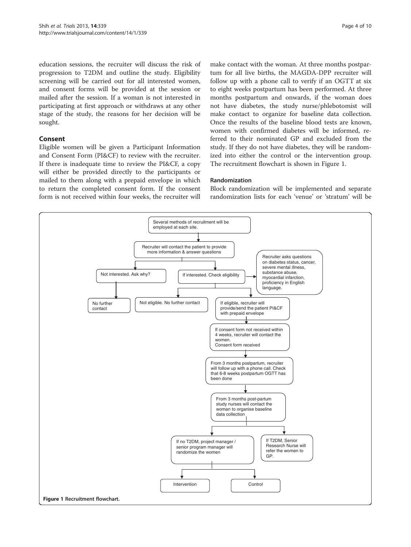education sessions, the recruiter will discuss the risk of progression to T2DM and outline the study. Eligibility screening will be carried out for all interested women, and consent forms will be provided at the session or mailed after the session. If a woman is not interested in participating at first approach or withdraws at any other stage of the study, the reasons for her decision will be sought.

# Consent

Eligible women will be given a Participant Information and Consent Form (PI&CF) to review with the recruiter. If there is inadequate time to review the PI&CF, a copy will either be provided directly to the participants or mailed to them along with a prepaid envelope in which to return the completed consent form. If the consent form is not received within four weeks, the recruiter will make contact with the woman. At three months postpartum for all live births, the MAGDA-DPP recruiter will follow up with a phone call to verify if an OGTT at six to eight weeks postpartum has been performed. At three months postpartum and onwards, if the woman does not have diabetes, the study nurse/phlebotomist will make contact to organize for baseline data collection. Once the results of the baseline blood tests are known, women with confirmed diabetes will be informed, referred to their nominated GP and excluded from the study. If they do not have diabetes, they will be randomized into either the control or the intervention group. The recruitment flowchart is shown in Figure 1.

#### Randomization

Block randomization will be implemented and separate randomization lists for each 'venue' or 'stratum' will be

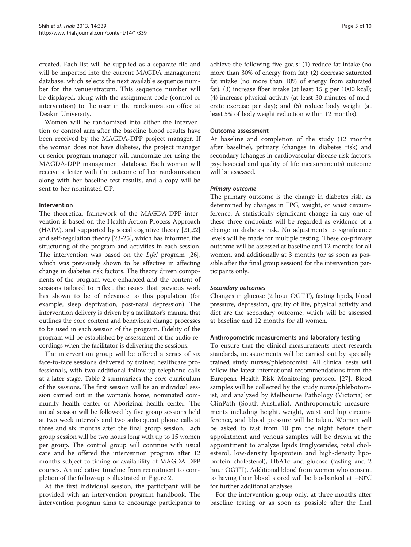created. Each list will be supplied as a separate file and will be imported into the current MAGDA management database, which selects the next available sequence number for the venue/stratum. This sequence number will be displayed, along with the assignment code (control or intervention) to the user in the randomization office at Deakin University.

Women will be randomized into either the intervention or control arm after the baseline blood results have been received by the MAGDA-DPP project manager. If the woman does not have diabetes, the project manager or senior program manager will randomize her using the MAGDA-DPP management database. Each woman will receive a letter with the outcome of her randomization along with her baseline test results, and a copy will be sent to her nominated GP.

## Intervention

The theoretical framework of the MAGDA-DPP intervention is based on the Health Action Process Approach (HAPA), and supported by social cognitive theory [\[21,22](#page-8-0)] and self-regulation theory [\[23-25\]](#page-8-0), which has informed the structuring of the program and activities in each session. The intervention was based on the *Life!* program [[26](#page-8-0)], which was previously shown to be effective in affecting change in diabetes risk factors. The theory driven components of the program were enhanced and the content of sessions tailored to reflect the issues that previous work has shown to be of relevance to this population (for example, sleep deprivation, post-natal depression). The intervention delivery is driven by a facilitator's manual that outlines the core content and behavioral change processes to be used in each session of the program. Fidelity of the program will be established by assessment of the audio recordings when the facilitator is delivering the sessions.

The intervention group will be offered a series of six face-to-face sessions delivered by trained healthcare professionals, with two additional follow-up telephone calls at a later stage. Table [2](#page-5-0) summarizes the core curriculum of the sessions. The first session will be an individual session carried out in the woman's home, nominated community health center or Aboriginal health center. The initial session will be followed by five group sessions held at two week intervals and two subsequent phone calls at three and six months after the final group session. Each group session will be two hours long with up to 15 women per group. The control group will continue with usual care and be offered the intervention program after 12 months subject to timing or availability of MAGDA-DPP courses. An indicative timeline from recruitment to completion of the follow-up is illustrated in Figure [2](#page-6-0).

At the first individual session, the participant will be provided with an intervention program handbook. The intervention program aims to encourage participants to

achieve the following five goals: (1) reduce fat intake (no more than 30% of energy from fat); (2) decrease saturated fat intake (no more than 10% of energy from saturated fat); (3) increase fiber intake (at least 15 g per 1000 kcal); (4) increase physical activity (at least 30 minutes of moderate exercise per day); and (5) reduce body weight (at least 5% of body weight reduction within 12 months).

## Outcome assessment

At baseline and completion of the study (12 months after baseline), primary (changes in diabetes risk) and secondary (changes in cardiovascular disease risk factors, psychosocial and quality of life measurements) outcome will be assessed.

# Primary outcome

The primary outcome is the change in diabetes risk, as determined by changes in FPG, weight, or waist circumference. A statistically significant change in any one of these three endpoints will be regarded as evidence of a change in diabetes risk. No adjustments to significance levels will be made for multiple testing. These co-primary outcome will be assessed at baseline and 12 months for all women, and additionally at 3 months (or as soon as possible after the final group session) for the intervention participants only.

#### Secondary outcomes

Changes in glucose (2 hour OGTT), fasting lipids, blood pressure, depression, quality of life, physical activity and diet are the secondary outcome, which will be assessed at baseline and 12 months for all women.

#### Anthropometric measurements and laboratory testing

To ensure that the clinical measurements meet research standards, measurements will be carried out by specially trained study nurses/phlebotomist. All clinical tests will follow the latest international recommendations from the European Health Risk Monitoring protocol [\[27\]](#page-8-0). Blood samples will be collected by the study nurse/phlebotomist, and analyzed by Melbourne Pathology (Victoria) or ClinPath (South Australia). Anthropometric measurements including height, weight, waist and hip circumference, and blood pressure will be taken. Women will be asked to fast from 10 pm the night before their appointment and venous samples will be drawn at the appointment to analyze lipids (triglycerides, total cholesterol, low-density lipoprotein and high-density lipoprotein cholesterol), HbA1c and glucose (fasting and 2 hour OGTT). Additional blood from women who consent to having their blood stored will be bio-banked at −80°C for further additional analyses.

For the intervention group only, at three months after baseline testing or as soon as possible after the final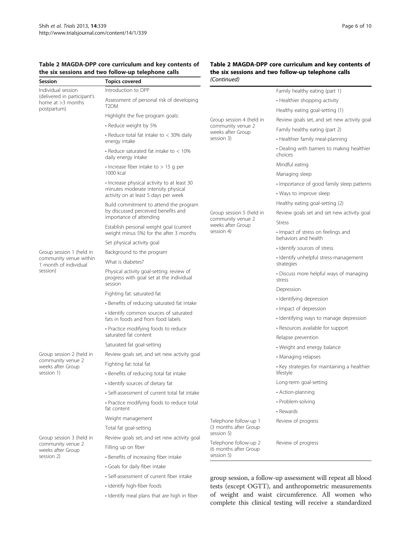# <span id="page-5-0"></span>Table 2 MAGDA-DPP core curriculum and key contents of the six sessions and two follow-up telephone calls<br>
Seccion
Section
Tenics covered

#### Table 2 MAGDA-DPP core curriculum and key contents of the six sessions and two follow-up telephone calls (Continued)

| Session                                                                          | <b>Topics covered</b>                                                                                                      | (Continuea)                                                                                                                                                          |                                                            |
|----------------------------------------------------------------------------------|----------------------------------------------------------------------------------------------------------------------------|----------------------------------------------------------------------------------------------------------------------------------------------------------------------|------------------------------------------------------------|
| Individual session                                                               | Introduction to DPP                                                                                                        |                                                                                                                                                                      | Family healthy eating (part 1)                             |
| (delivered in participant's<br>home at >3 months                                 | Assessment of personal risk of developing                                                                                  |                                                                                                                                                                      | • Healthier shopping activity                              |
| postpartum)                                                                      | T2DM                                                                                                                       |                                                                                                                                                                      | Healthy eating goal-setting (1)                            |
|                                                                                  | Highlight the five program goals:                                                                                          | Group session 4 (held in<br>community venue 2<br>weeks after Group<br>session 3)<br>Group session 5 (held in<br>community venue 2<br>weeks after Group<br>session 4) | Review goals set, and set new activity goal                |
|                                                                                  | • Reduce weight by 5%                                                                                                      |                                                                                                                                                                      | Family healthy eating (part 2)                             |
|                                                                                  | • Reduce total fat intake to $<$ 30% daily<br>energy intake                                                                |                                                                                                                                                                      | • Healthier family meal-planning                           |
|                                                                                  | • Reduce saturated fat intake to $<$ 10%<br>daily energy intake                                                            |                                                                                                                                                                      | • Dealing with barriers to making healthier<br>choices     |
|                                                                                  | $\cdot$ Increase fiber intake to $> 15$ g per                                                                              |                                                                                                                                                                      | Mindful eating                                             |
|                                                                                  | 1000 kcal                                                                                                                  |                                                                                                                                                                      | Managing sleep                                             |
|                                                                                  | • Increase physical activity to at least 30<br>minutes moderate intensity physical<br>activity on at least 5 days per week |                                                                                                                                                                      | · Importance of good family sleep patterns                 |
|                                                                                  |                                                                                                                            |                                                                                                                                                                      | • Ways to improve sleep                                    |
|                                                                                  | Build commitment to attend the program<br>by discussed perceived benefits and<br>importance of attending                   |                                                                                                                                                                      | Healthy eating goal-setting (2)                            |
|                                                                                  |                                                                                                                            |                                                                                                                                                                      | Review goals set and set new activity goal                 |
|                                                                                  | Establish personal weight goal (current                                                                                    |                                                                                                                                                                      | <b>Stress</b>                                              |
|                                                                                  | weight minus 5%) for the after 3 months                                                                                    |                                                                                                                                                                      | • Impact of stress on feelings and<br>behaviors and health |
|                                                                                  | Set physical activity goal                                                                                                 |                                                                                                                                                                      | · Identify sources of stress                               |
| Group session 1 (held in<br>community venue within                               | Background to the program<br>What is diabetes?                                                                             |                                                                                                                                                                      | · Identify unhelpful stress-management                     |
| 1 month of individual<br>session)                                                |                                                                                                                            |                                                                                                                                                                      | strategies                                                 |
|                                                                                  | Physical activity goal-setting: review of<br>progress with goal set at the individual<br>session                           |                                                                                                                                                                      | • Discuss more helpful ways of managing<br>stress          |
|                                                                                  | Fighting fat: saturated fat                                                                                                |                                                                                                                                                                      | Depression                                                 |
|                                                                                  | • Benefits of reducing saturated fat intake                                                                                |                                                                                                                                                                      | · Identifying depression                                   |
|                                                                                  | • Identify common sources of saturated                                                                                     |                                                                                                                                                                      | · Impact of depression                                     |
|                                                                                  | fats in foods and from food labels                                                                                         |                                                                                                                                                                      | · Identifying ways to manage depression                    |
|                                                                                  | • Practice modifying foods to reduce<br>saturated fat content                                                              |                                                                                                                                                                      | • Resources available for support                          |
|                                                                                  |                                                                                                                            |                                                                                                                                                                      | Relapse prevention                                         |
| Group session 2 (held in<br>community venue 2<br>weeks after Group<br>session 1) | Saturated fat goal-setting<br>Review goals set, and set new activity goal                                                  |                                                                                                                                                                      | • Weight and energy balance                                |
|                                                                                  |                                                                                                                            |                                                                                                                                                                      | • Managing relapses                                        |
|                                                                                  | Fighting fat: total fat                                                                                                    |                                                                                                                                                                      | • Key strategies for maintaining a healthier<br>lifestyle  |
|                                                                                  | • Benefits of reducing total fat intake                                                                                    |                                                                                                                                                                      | Long-term goal-setting                                     |
|                                                                                  | · Identify sources of dietary fat<br>• Self-assessment of current total fat intake                                         |                                                                                                                                                                      | • Action-planning                                          |
|                                                                                  | • Practice modifying foods to reduce total                                                                                 |                                                                                                                                                                      | • Problem-solving                                          |
|                                                                                  | fat content                                                                                                                |                                                                                                                                                                      | • Rewards                                                  |
|                                                                                  | Weight management                                                                                                          | Telephone follow-up 1<br>(3 months after Group                                                                                                                       | Review of progress                                         |
|                                                                                  | Total fat goal-setting                                                                                                     |                                                                                                                                                                      |                                                            |
| Group session 3 (held in<br>community venue 2<br>weeks after Group<br>session 2) | Review goals set, and set new activity goal                                                                                | session 5)                                                                                                                                                           | Review of progress                                         |
|                                                                                  | Filling up on fiber                                                                                                        | Telephone follow-up 2<br>(6 months after Group                                                                                                                       |                                                            |
|                                                                                  | • Benefits of increasing fiber intake                                                                                      | session 5)                                                                                                                                                           |                                                            |
|                                                                                  | · Goals for daily fiber intake                                                                                             |                                                                                                                                                                      |                                                            |
|                                                                                  | • Self-assessment of current fiber intake                                                                                  | group session, a follow-up assessment will repeat all blood<br>tests (except OGTT), and anthropometric measurements                                                  |                                                            |
|                                                                                  | · Identify high-fiber foods                                                                                                |                                                                                                                                                                      |                                                            |
|                                                                                  | · Identify meal plans that are high in fiber                                                                               | of weight and waist circumference. All women who<br>complete this clinical testing will receive a standardized                                                       |                                                            |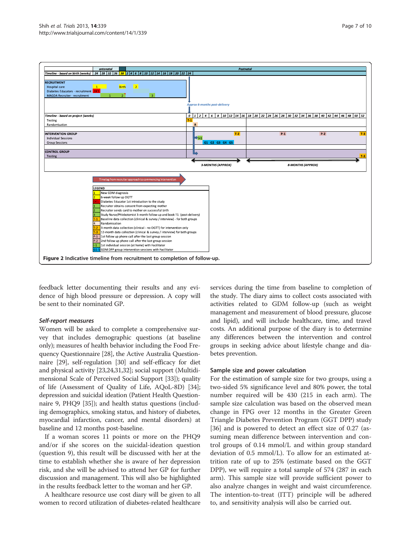<span id="page-6-0"></span>

feedback letter documenting their results and any evidence of high blood pressure or depression. A copy will be sent to their nominated GP.

## Self-report measures

Women will be asked to complete a comprehensive survey that includes demographic questions (at baseline only); measures of health behavior including the Food Frequency Questionnaire [[28](#page-8-0)], the Active Australia Questionnaire [[29\]](#page-8-0), self-regulation [\[30\]](#page-9-0) and self-efficacy for diet and physical activity [\[23,24](#page-8-0)[,31,32\]](#page-9-0); social support (Multidimensional Scale of Perceived Social Support [\[33](#page-9-0)]); quality of life (Assessment of Quality of Life, AQoL-8D) [[34](#page-9-0)]; depression and suicidal ideation (Patient Health Questionnaire 9, PHQ9 [[35](#page-9-0)]); and health status questions (including demographics, smoking status, and history of diabetes, myocardial infarction, cancer, and mental disorders) at baseline and 12 months post-baseline.

If a woman scores 11 points or more on the PHQ9 and/or if she scores on the suicidal-ideation question (question 9), this result will be discussed with her at the time to establish whether she is aware of her depression risk, and she will be advised to attend her GP for further discussion and management. This will also be highlighted in the results feedback letter to the woman and her GP.

A healthcare resource use cost diary will be given to all women to record utilization of diabetes-related healthcare

services during the time from baseline to completion of the study. The diary aims to collect costs associated with activities related to GDM follow-up (such as weight management and measurement of blood pressure, glucose and lipid), and will include healthcare, time, and travel costs. An additional purpose of the diary is to determine any differences between the intervention and control groups in seeking advice about lifestyle change and diabetes prevention.

#### Sample size and power calculation

For the estimation of sample size for two groups, using a two-sided 5% significance level and 80% power, the total number required will be 430 (215 in each arm). The sample size calculation was based on the observed mean change in FPG over 12 months in the Greater Green Triangle Diabetes Prevention Program (GGT DPP) study [[36\]](#page-9-0) and is powered to detect an effect size of 0.27 (assuming mean difference between intervention and control groups of 0.14 mmol/L and within group standard deviation of 0.5 mmol/L). To allow for an estimated attrition rate of up to 25% (estimate based on the GGT DPP), we will require a total sample of 574 (287 in each arm). This sample size will provide sufficient power to also analyze changes in weight and waist circumference. The intention-to-treat (ITT) principle will be adhered to, and sensitivity analysis will also be carried out.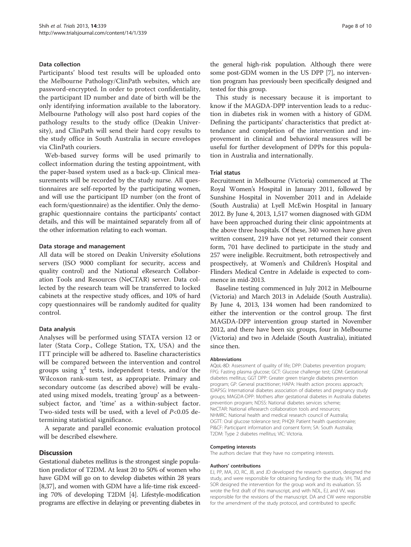# Data collection

Participants' blood test results will be uploaded onto the Melbourne Pathology/ClinPath websites, which are password-encrypted. In order to protect confidentiality, the participant ID number and date of birth will be the only identifying information available to the laboratory. Melbourne Pathology will also post hard copies of the pathology results to the study office (Deakin University), and ClinPath will send their hard copy results to the study office in South Australia in secure envelopes via ClinPath couriers.

Web-based survey forms will be used primarily to collect information during the testing appointment, with the paper-based system used as a back-up. Clinical measurements will be recorded by the study nurse. All questionnaires are self-reported by the participating women, and will use the participant ID number (on the front of each form/questionnaire) as the identifier. Only the demographic questionnaire contains the participants' contact details, and this will be maintained separately from all of the other information relating to each woman.

#### Data storage and management

All data will be stored on Deakin University eSolutions servers (ISO 9000 compliant for security, access and quality control) and the National eResearch Collaboration Tools and Resources (NeCTAR) server. Data collected by the research team will be transferred to locked cabinets at the respective study offices, and 10% of hard copy questionnaires will be randomly audited for quality control.

# Data analysis

Analyses will be performed using STATA version 12 or later (Stata Corp., College Station, TX, USA) and the ITT principle will be adhered to. Baseline characteristics will be compared between the intervention and control groups using  $\chi^2$  tests, independent t-tests, and/or the Wilcoxon rank-sum test, as appropriate. Primary and secondary outcome (as described above) will be evaluated using mixed models, treating 'group' as a betweensubject factor, and 'time' as a within-subject factor. Two-sided tests will be used, with a level of  $P<0.05$  determining statistical significance.

A separate and parallel economic evaluation protocol will be described elsewhere.

# **Discussion**

Gestational diabetes mellitus is the strongest single population predictor of T2DM. At least 20 to 50% of women who have GDM will go on to develop diabetes within 28 years [[8](#page-8-0)[,37](#page-9-0)], and women with GDM have a life-time risk exceeding 70% of developing T2DM [\[4\]](#page-8-0). Lifestyle-modification programs are effective in delaying or preventing diabetes in the general high-risk population. Although there were some post-GDM women in the US DPP [\[7](#page-8-0)], no intervention program has previously been specifically designed and tested for this group.

This study is necessary because it is important to know if the MAGDA-DPP intervention leads to a reduction in diabetes risk in women with a history of GDM. Defining the participants' characteristics that predict attendance and completion of the intervention and improvement in clinical and behavioral measures will be useful for further development of DPPs for this population in Australia and internationally.

#### Trial status

Recruitment in Melbourne (Victoria) commenced at The Royal Women's Hospital in January 2011, followed by Sunshine Hospital in November 2011 and in Adelaide (South Australia) at Lyell McEwin Hospital in January 2012. By June 4, 2013, 1,517 women diagnosed with GDM have been approached during their clinic appointments at the above three hospitals. Of these, 340 women have given written consent, 219 have not yet returned their consent form, 701 have declined to participate in the study and 257 were ineligible. Recruitment, both retrospectively and prospectively, at Women's and Children's Hospital and Flinders Medical Centre in Adelaide is expected to commence in mid-2013.

Baseline testing commenced in July 2012 in Melbourne (Victoria) and March 2013 in Adelaide (South Australia). By June 4, 2013, 134 women had been randomized to either the intervention or the control group. The first MAGDA-DPP intervention group started in November 2012, and there have been six groups, four in Melbourne (Victoria) and two in Adelaide (South Australia), initiated since then.

#### Abbreviations

AQoL-8D: Assessment of quality of life; DPP: Diabetes prevention program; FPG: Fasting plasma glucose; GCT: Glucose challenge test; GDM: Gestational diabetes mellitus; GGT DPP: Greater green triangle diabetes prevention program; GP: General practitioner; HAPA: Health action process approach; IDAPSG: International diabetes association of diabetes and pregnancy study groups; MAGDA-DPP: Mothers after gestational diabetes in Australia diabetes prevention program; NDSS: National diabetes services scheme; NeCTAR: National eResearch collaboration tools and resources; NHMRC: National health and medical research council of Australia; OGTT: Oral glucose tolerance test; PHQ9: Patient health questionnaire; PI&CF: Participant information and consent form; SA: South Australia; T2DM: Type 2 diabetes mellitus; VIC: Victoria.

#### Competing interests

The authors declare that they have no competing interests.

#### Authors' contributions

EJ, PP, MA, JO, RC, JB, and JD developed the research question, designed the study, and were responsible for obtaining funding for the study. VH, TM, and SOR designed the intervention for the group work and its evaluation. SS wrote the first draft of this manuscript, and with NDL, EJ, and VV, was responsible for the revisions of the manuscript. DA and CW were responsible for the amendment of the study protocol, and contributed to specific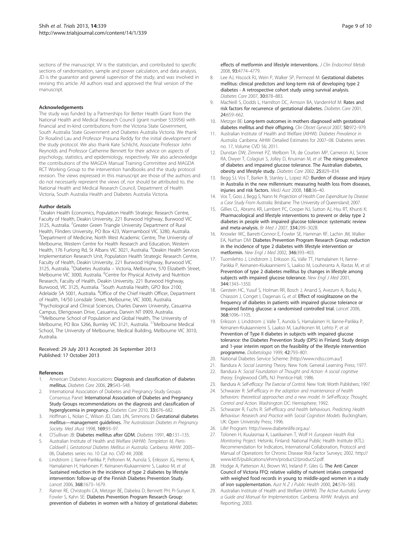<span id="page-8-0"></span>sections of the manuscript. W is the statistician, and contributed to specific sections of randomization, sample and power calculation, and data analysis. JD is the guarantor and general supervisor of the study, and was involved in revising this article. All authors read and approved the final version of the manuscript.

#### Acknowledgements

The study was funded by a Partnerships for Better Health Grant from the National Health and Medical Research Council (grant number 533956) with financial and in-kind contributions from the Victoria State Government, South Australia State Government and Diabetes Australia Victoria. We thank Dr Rosalind Lau and Professor Prasuna Reddy for the initial development of the study protocol. We also thank Kate Schlicht, Associate Professor John Reynolds and Professor Catherine Bennett for their advice on aspects of psychology, statistics, and epidemiology, respectively. We also acknowledge the contributions of the MAGDA Manual Training Committee and MAGDA RCT Working Group to the intervention handbooks and the study protocol revision. The views expressed in this manuscript are those of the authors and do not necessarily represent the views of, nor should be attributed to, the National Health and Medical Research Council, Department of Health Victoria, South Australia Health and Diabetes Australia Victoria.

#### Author details

<sup>1</sup> Deakin Health Economics, Population Health Strategic Research Centre, Faculty of Health, Deakin University, 221 Burwood Highway, Burwood VIC 3125, Australia. <sup>2</sup>Greater Green Triangle University Department of Rural Health, Flinders University, PO Box 423, Warrnambool VIC 3280, Australia. <sup>3</sup>Department of Medicine, North West Academic Centre, The University of Melbourne, Western Centre for Health Research and Education, Western Health, 176 Furlong Rd, St Albans VIC 3021, Australia. <sup>4</sup>Deakin Health Services Implementation Research Unit, Population Health Strategic Research Centre, Faculty of Health, Deakin University, 221 Burwood Highway, Burwood VIC 3125, Australia. <sup>5</sup>Diabetes Australia – Victoria, Melbourne, 570 Elizabeth Street, Melbourne VIC 3000, Australia. <sup>6</sup>Centre for Physical Activity and Nutrition Research, Faculty of Health, Deakin University, 221 Burwood Highway, Burwood, VIC 3125, Australia. <sup>7</sup>South Australia Health, GPO Box 2100, Adelaide SA 5001, Australia. <sup>8</sup>Office of the Chief Health Officer, Department of Health, 14/50 Lonsdale Street, Melbourne, VIC 3000, Australia. <sup>9</sup>Psychological and Clinical Sciences, Charles Darwin University, Casuarina Campus, Ellengowan Drive, Casuarina, Darwin NT 0909, Australia. <sup>10</sup>Melbourne School of Population and Global Health, The University of Melbourne, PO Box 5266, Burnley VIC 3121, Australia. <sup>11</sup>Melbourne Medical School, The University of Melbourne, Medical Building, Melbourne VIC 3010, Australia.

#### Received: 29 July 2013 Accepted: 26 September 2013 Published: 17 October 2013

#### References

- 1. American Diabetes Associations: Diagnosis and classification of diabetes mellitus. Diabetes Care 2006, 29:S43–S48.
- 2. International Association of Diabetes and Pregnancy Study Groups Consensus Panel: International Association of Diabetes and Pregnancy Study Groups recommendations on the diagnosis and classification of hyperglycemia in pregnancy. Diabetes Care 2010, 33:676–682.
- 3. Hoffman L, Nolan C, Wilson JD, Oats JJN, Simmons D: Gestational diabetes mellitus—management guidelines. The Australasian Diabetes in Pregnancy Society. Med JAust 1998, **169:**93-97.
- 4. O'Sullivan JB: Diabetes mellitus after GDM. Diabetes 1991, 40:131-135.
- Australian Institute of Health and Welfare (AIHW): Templeton M, Pieris-Caldwell I, Gestational Diabetes Mellitus in Australia. Canberra: AIHW: 2005– 06, Diabetes series no. 10 Cat no. CVD 44; 2008.
- 6. Lindstrom J, Ilanne-Parikka P, Peltonen M, Aunola S, Eriksson JG, Hemio K, Hamalainen H, Harkonen P, Keinanen-Kiukaanniemi S, Laakso M, et al: Sustained reduction in the incidence of type 2 diabetes by lifestyle intervention: follow-up of the Finnish Diabetes Prevention Study. Lancet 2006, 368:1673–1679.
- 7. Ratner RE, Christophi CA, Metzger BE, Dabelea D, Bennett PH, Pi-Sunyer X, Fowler S, Kahn SE: Diabetes Prevention Program Research Group: prevention of diabetes in women with a history of gestational diabetes:

effects of metformin and lifestyle interventions. J Clin Endocrinol Metab 2008, 93:4774–4779.

- 8. Lee AJ, Hiscock RJ, Wein P, Walker SP, Permezel M: Gestational diabetes mellitus: clinical predictors and long-term risk of developing type 2 diabetes - A retrospective cohort study using survival analysis. Diabetes Care 2007, 30:878–883.
- 9. MacNeill S, Dodds L, Hamilton DC, Armson BA, VandenHof M: Rates and risk factors for recurrence of gestational diabetes. Diabetes Care 2001, 24:659–662.
- 10. Metzger BE: Long-term outcomes in mothers diagnosed with gestational diabetes mellitus and their offspring. Clin Obstet Gynecol 2007, 50:972–979.
- 11. Australian Institute of Health and Welfare (AIHW): Diabetes Prevalence in Australia. Canberra: AIHW: Detailed Estimates for 2007–08. Diabetes series no. 17, Volume CVD 56; 2011.
- 12. Dunstan DW, Zimmet PZ, Welborn TA, de Courten MP, Cameron AJ, Sicree RA, Dwyer T, Colagiuri S, Jolley D, Knuiman M, et al: The rising prevalence of diabetes and impaired glucose tolerance. The Australian diabetes, obesity and lifestyle study. Diabetes Care 2002, 25:829–834.
- 13. Begg SJ, Vos T, Barker B, Stanley L, Lopez AD: Burden of disease and injury in Australia in the new millennium: measuring health loss from diseases, injuries and risk factors. MedJ Aust 2008, 188:36–40.
- Vos T, Goss J, Begg S, Nann N: Projection of Health Care Expenditure by Disease: a Case Study From Australia. Brisbane: The University of Queensland; 2007.
- 15. Gillies CL, Abrams KR, Lambert PC, Cooper NJ, Sutton AJ, Hsu RT, Khunti K: Pharmacological and lifestyle interventions to prevent or delay type 2 diabetes in people with impaired glucose tolerance: systematic review and meta-analysis. Br Med J 2007, 334:299–302B.
- 16. Knowler WC, Barrett-Connor E, Fowler SE, Hamman RF, Lachin JM, Walker EA, Nathan DM: Diabetes Prevention Program Research Group: reduction in the incidence of type 2 diabetes with lifestyle intervention or metformin. New Engl J Med 2002, 346:393–403.
- 17. Tuomilehto J, Lindstrom J, Eriksson JG, Valle TT, Hamalainen H, Ilanne-Parikka P, Keinanen-Kiukaanniemi S, Laakso M, Louheranta A, Rastas M, et al: Prevention of type 2 diabetes mellitus by changes in lifestyle among subjects with impaired glucose tolerance. New Engl J Med 2001, 344:1343–1350.
- 18. Gerstein HC, Yusuf S, Holman RR, Bosch J, Anand S, Avezum A, Budaj A, Chiasson J, Conget I, Dagenais G, et al: Effect of rosiglitazone on the frequency of diabetes in patients with impaired glucose tolerance or impaired fasting glucose: a randomised controlled trial. Lancet 2006, 368:1096–1105.
- 19. Eriksson J, Lindstrom J, Valle T, Aunola S, Hamalainen H, Ilanne-Parikka P, Keinanen-Kiukaanniemi S, Laakso M, Lauhkonen M, Lehto P, et al: Prevention of Type II diabetes in subjects with impaired glucose tolerance: the Diabetes Prevention Study (DPS) in Finland. Study design and 1-year interim report on the feasibility of the lifestyle intervention programme. Diabetologia 1999, 42:793–801.
- 20. National Diabetes Service Scheme: [\[http://www.ndss.com.au/](http://www.ndss.com.au/)]
- 21. Bandura A: Social Learning Theory. New York: General Learning Press; 1977.
- 22. Bandura A: Social Foundation of Thought and Action: A social cognitive theory. Englewood Cliffs, NJ: Prentice-Hall; 1986.
- 23. Bandura A: Self-efficacy: The Exercise of Control. New York: Worth Publishers; 1997.
- 24. Schwarzer R: Self-efficacy in the adoption and maintenance of health behaviors: theoretical approaches and a new model. In Self-efficacy: Thought, Control and Action. Washington DC: Hemisphere; 1992.
- 25. Schwarzer R, Fuchs R: Self-efficacy and health behaviours. Predicting Health Behaviour: Research and Practice with Social Cognition Models. Buckingham, UK: Open University Press; 1996.
- 26. Life! Program: [http://www.diabeteslife.org.au/.](http://www.diabeteslife.org.au/)
- 27. Tolonen H, Kuulasmaa K, Laatikainen T, Wolf H: European Health Risk Monitoring Project. Helsinki, Finland: National Public Health Institute (KTL): Recommendation for Indicators, International Collaboration, Protocol and Manual of Operations for Chronic Disease Risk Factor Surveys; 2002. [http://](http://www.ktl.fi/publications/ehrm/product2/product2.pdf) [www.ktl.fi/publications/ehrm/product2/product2.pdf](http://www.ktl.fi/publications/ehrm/product2/product2.pdf).
- 28. Hodge A, Patterson AJ, Brown WJ, Ireland P, Giles G: The Anti Cancer Council of Victoria FFQ: relative validity of nutrient intakes compared with weighed food records in young to middle-aged women in a study of iron supplementation. Aust N Z J Public Health 2000, 24:576-583.
- 29. Australian Institute of Health and Welfare (AIHW): The Active Australia Survey: a Guide and Manual for Implementation. Canberra: AIHW: Analysis and Reporting; 2003.